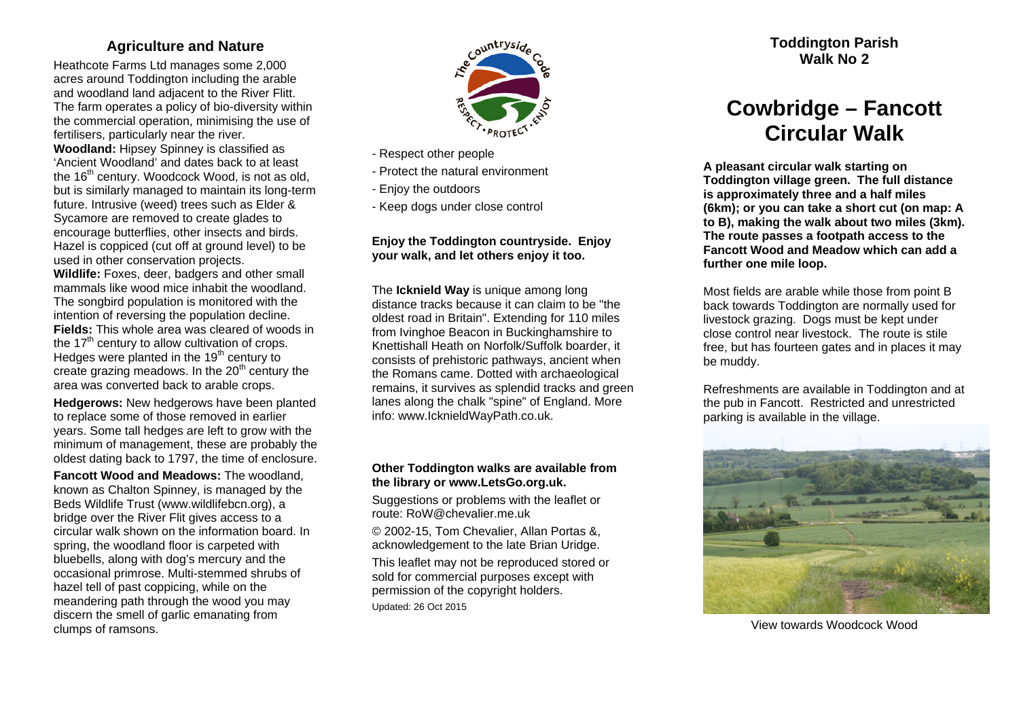## **Agriculture and Nature**

Heathcote Farms Ltd manages some 2,000 acres around Toddington including the arable and woodland land adjacent to the River Flitt. The farm operates a policy of bio-diversity within the commercial operation, minimising the use of fertilisers, particularly near the river. **Woodland:** Hipsey Spinney is classified as 'Ancient Woodland' and dates back to at least the 16<sup>th</sup> century. Woodcock Wood, is not as old, but is similarly managed to maintain its long-term future. Intrusive (weed) trees such as Elder & Sycamore are removed to create glades to encourage butterflies, other insects and birds. Hazel is coppiced (cut off at ground level) to be used in other conservation projects.

**Wildlife:** Foxes, deer, badgers and other small mammals like wood mice inhabit the woodland. The songbird population is monitored with the intention of reversing the population decline. **Fields:** This whole area was cleared of woods in the  $17<sup>th</sup>$  century to allow cultivation of crops. Hedges were planted in the  $19<sup>th</sup>$  century to create grazing meadows. In the  $20<sup>th</sup>$  century the area was converted back to arable crops.

**Hedgerows:** New hedgerows have been planted to replace some of those removed in earlier years. Some tall hedges are left to grow with the minimum of management, these are probably the oldest dating back to 1797, the time of enclosure.

**Fancott Wood and Meadows:** The woodland, known as Chalton Spinney, is managed by the Beds Wildlife Trust (www.wildlifebcn.org), a bridge over the River Flit gives access to a circular walk shown on the information board. In spring, the woodland floor is carpeted with bluebells, along with dog's mercury and the occasional primrose. Multi-stemmed shrubs of hazel tell of past coppicing, while on the meandering path through the wood you may discern the smell of garlic emanating from clumps of ramsons.



- Respect other people
- Protect the natural environment
- Enjoy the outdoors
- Keep dogs under close control

## **Enjoy the Toddington countryside. Enjoy your walk, and let others enjoy it too.**

The **Icknield Way** is unique among long distance tracks because it can claim to be "the oldest road in Britain". Extending for 110 miles from Ivinghoe Beacon in Buckinghamshire to Knettishall Heath on Norfolk/Suffolk boarder, it consists of prehistoric pathways, ancient when the Romans came. Dotted with archaeological remains, it survives as splendid tracks and green lanes along the chalk "spine" of England. More info: www.IcknieldWayPath.co.uk.

## **Other Toddington walks are available from the library or www.LetsGo.org.uk.**

Suggestions or problems with the leaflet or route: RoW@chevalier.me.uk

© 2002-15, Tom Chevalier, Allan Portas &, acknowledgement to the late Brian Uridge.

This leaflet may not be reproduced stored or sold for commercial purposes except with permission of the copyright holders. Updated: 26 Oct 2015

**Toddington Parish Walk No 2** 

## **Cowbridge – Fancott Circular Walk**

**A pleasant circular walk starting on Toddington village green. The full distance is approximately three and a half miles (6km); or you can take a short cut (on map: A to B), making the walk about two miles (3km). The route passes a footpath access to the Fancott Wood and Meadow which can add a further one mile loop.** 

Most fields are arable while those from point B back towards Toddington are normally used for livestock grazing. Dogs must be kept under close control near livestock. The route is stile free, but has fourteen gates and in places it may be muddy.

Refreshments are available in Toddington and at the pub in Fancott. Restricted and unrestricted parking is available in the village.



View towards Woodcock Wood